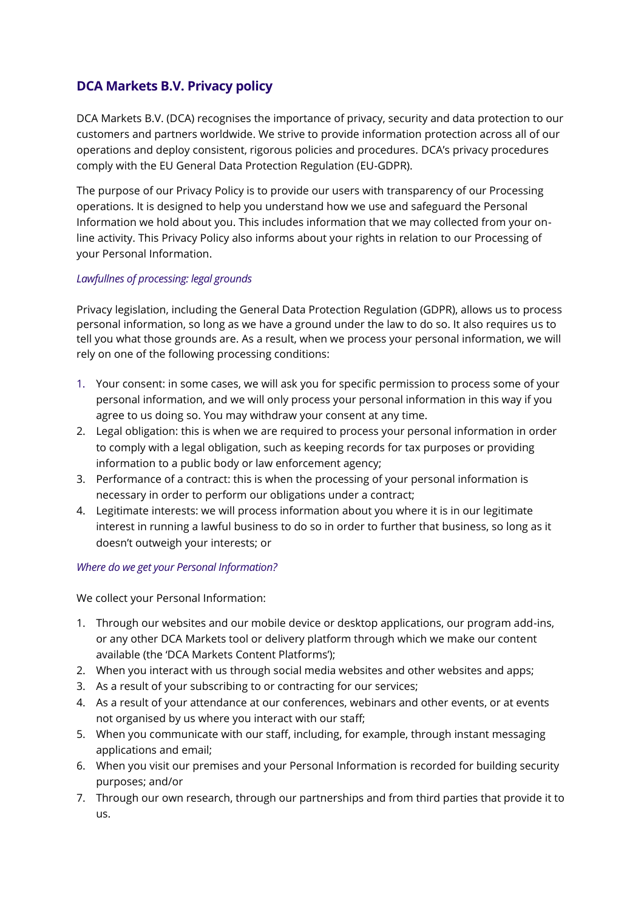# **DCA Markets B.V. Privacy policy**

DCA Markets B.V. (DCA) recognises the importance of privacy, security and data protection to our customers and partners worldwide. We strive to provide information protection across all of our operations and deploy consistent, rigorous policies and procedures. DCA's privacy procedures comply with the EU General Data Protection Regulation (EU-GDPR).

The purpose of our Privacy Policy is to provide our users with transparency of our Processing operations. It is designed to help you understand how we use and safeguard the Personal Information we hold about you. This includes information that we may collected from your online activity. This Privacy Policy also informs about your rights in relation to our Processing of your Personal Information.

# *Lawfullnes of processing: legal grounds*

Privacy legislation, including the General Data Protection Regulation (GDPR), allows us to process personal information, so long as we have a ground under the law to do so. It also requires us to tell you what those grounds are. As a result, when we process your personal information, we will rely on one of the following processing conditions:

- 1. Your consent: in some cases, we will ask you for specific permission to process some of your personal information, and we will only process your personal information in this way if you agree to us doing so. You may withdraw your consent at any time.
- 2. Legal obligation: this is when we are required to process your personal information in order to comply with a legal obligation, such as keeping records for tax purposes or providing information to a public body or law enforcement agency;
- 3. Performance of a contract: this is when the processing of your personal information is necessary in order to perform our obligations under a contract;
- 4. Legitimate interests: we will process information about you where it is in our legitimate interest in running a lawful business to do so in order to further that business, so long as it doesn't outweigh your interests; or

# *Where do we get your Personal Information?*

We collect your Personal Information:

- 1. Through our websites and our mobile device or desktop applications, our program add-ins, or any other DCA Markets tool or delivery platform through which we make our content available (the 'DCA Markets Content Platforms');
- 2. When you interact with us through social media websites and other websites and apps;
- 3. As a result of your subscribing to or contracting for our services;
- 4. As a result of your attendance at our conferences, webinars and other events, or at events not organised by us where you interact with our staff;
- 5. When you communicate with our staff, including, for example, through instant messaging applications and email;
- 6. When you visit our premises and your Personal Information is recorded for building security purposes; and/or
- 7. Through our own research, through our partnerships and from third parties that provide it to us.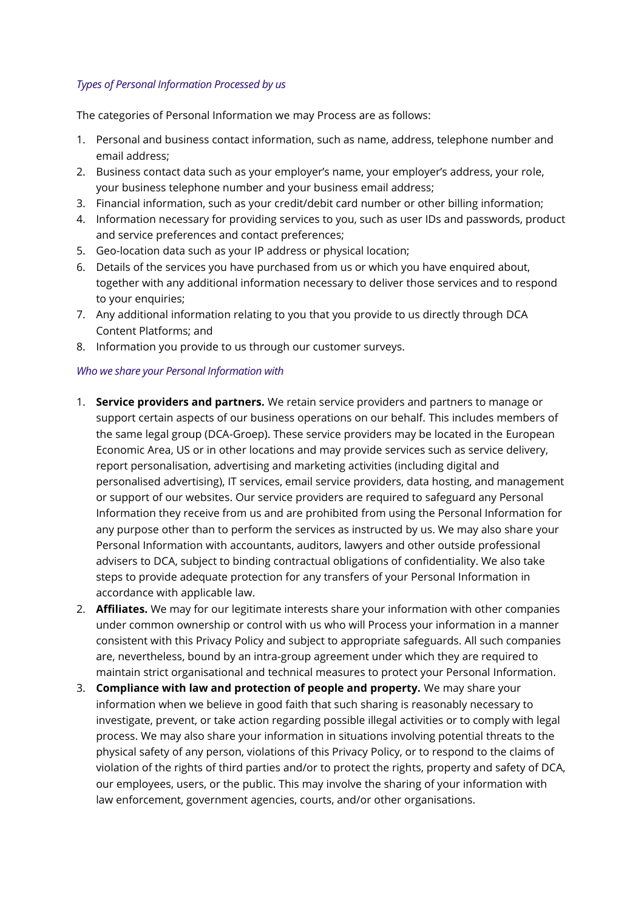# *Types of Personal Information Processed by us*

The categories of Personal Information we may Process are as follows:

- 1. Personal and business contact information, such as name, address, telephone number and email address;
- 2. Business contact data such as your employer's name, your employer's address, your role, your business telephone number and your business email address;
- 3. Financial information, such as your credit/debit card number or other billing information;
- 4. Information necessary for providing services to you, such as user IDs and passwords, product and service preferences and contact preferences;
- 5. Geo-location data such as your IP address or physical location;
- 6. Details of the services you have purchased from us or which you have enquired about, together with any additional information necessary to deliver those services and to respond to your enquiries;
- 7. Any additional information relating to you that you provide to us directly through DCA Content Platforms; and
- 8. Information you provide to us through our customer surveys.

### *Who we share your Personal Information with*

- 1. **Service providers and partners.** We retain service providers and partners to manage or support certain aspects of our business operations on our behalf. This includes members of the same legal group (DCA-Groep). These service providers may be located in the European Economic Area, US or in other locations and may provide services such as service delivery, report personalisation, advertising and marketing activities (including digital and personalised advertising), IT services, email service providers, data hosting, and management or support of our websites. Our service providers are required to safeguard any Personal Information they receive from us and are prohibited from using the Personal Information for any purpose other than to perform the services as instructed by us. We may also share your Personal Information with accountants, auditors, lawyers and other outside professional advisers to DCA, subject to binding contractual obligations of confidentiality. We also take steps to provide adequate protection for any transfers of your Personal Information in accordance with applicable law.
- 2. **Affiliates.** We may for our legitimate interests share your information with other companies under common ownership or control with us who will Process your information in a manner consistent with this Privacy Policy and subject to appropriate safeguards. All such companies are, nevertheless, bound by an intra-group agreement under which they are required to maintain strict organisational and technical measures to protect your Personal Information.
- 3. **Compliance with law and protection of people and property.** We may share your information when we believe in good faith that such sharing is reasonably necessary to investigate, prevent, or take action regarding possible illegal activities or to comply with legal process. We may also share your information in situations involving potential threats to the physical safety of any person, violations of this Privacy Policy, or to respond to the claims of violation of the rights of third parties and/or to protect the rights, property and safety of DCA, our employees, users, or the public. This may involve the sharing of your information with law enforcement, government agencies, courts, and/or other organisations.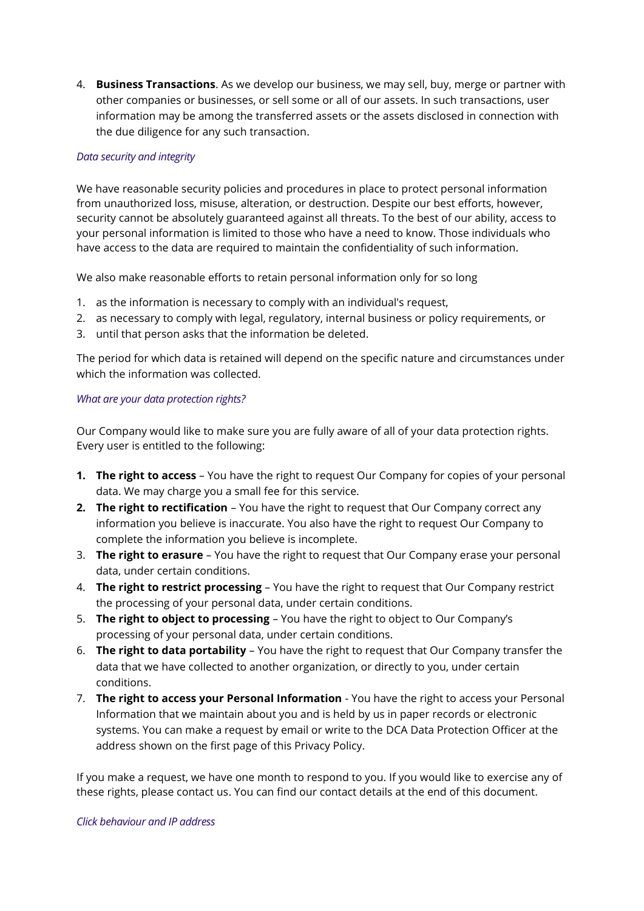4. **Business Transactions**. As we develop our business, we may sell, buy, merge or partner with other companies or businesses, or sell some or all of our assets. In such transactions, user information may be among the transferred assets or the assets disclosed in connection with the due diligence for any such transaction.

### *Data security and integrity*

We have reasonable security policies and procedures in place to protect personal information from unauthorized loss, misuse, alteration, or destruction. Despite our best efforts, however, security cannot be absolutely guaranteed against all threats. To the best of our ability, access to your personal information is limited to those who have a need to know. Those individuals who have access to the data are required to maintain the confidentiality of such information.

We also make reasonable efforts to retain personal information only for so long

- 1. as the information is necessary to comply with an individual's request,
- 2. as necessary to comply with legal, regulatory, internal business or policy requirements, or
- 3. until that person asks that the information be deleted.

The period for which data is retained will depend on the specific nature and circumstances under which the information was collected.

### *What are your data protection rights?*

Our Company would like to make sure you are fully aware of all of your data protection rights. Every user is entitled to the following:

- **1. The right to access** You have the right to request Our Company for copies of your personal data. We may charge you a small fee for this service.
- **2. The right to rectification** You have the right to request that Our Company correct any information you believe is inaccurate. You also have the right to request Our Company to complete the information you believe is incomplete.
- 3. **The right to erasure** You have the right to request that Our Company erase your personal data, under certain conditions.
- 4. **The right to restrict processing** You have the right to request that Our Company restrict the processing of your personal data, under certain conditions.
- 5. **The right to object to processing** You have the right to object to Our Company's processing of your personal data, under certain conditions.
- 6. **The right to data portability** You have the right to request that Our Company transfer the data that we have collected to another organization, or directly to you, under certain conditions.
- 7. **The right to access your Personal Information** You have the right to access your Personal Information that we maintain about you and is held by us in paper records or electronic systems. You can make a request by email or write to the DCA Data Protection Officer at the address shown on the first page of this Privacy Policy.

If you make a request, we have one month to respond to you. If you would like to exercise any of these rights, please contact us. You can find our contact details at the end of this document.

#### *Click behaviour and IP address*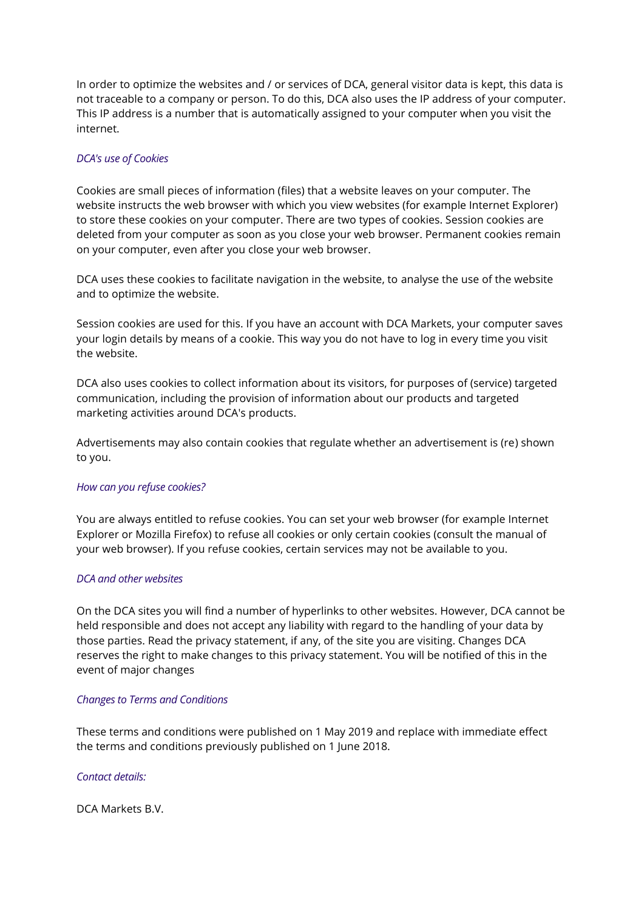In order to optimize the websites and / or services of DCA, general visitor data is kept, this data is not traceable to a company or person. To do this, DCA also uses the IP address of your computer. This IP address is a number that is automatically assigned to your computer when you visit the internet.

# *DCA's use of Cookies*

Cookies are small pieces of information (files) that a website leaves on your computer. The website instructs the web browser with which you view websites (for example Internet Explorer) to store these cookies on your computer. There are two types of cookies. Session cookies are deleted from your computer as soon as you close your web browser. Permanent cookies remain on your computer, even after you close your web browser.

DCA uses these cookies to facilitate navigation in the website, to analyse the use of the website and to optimize the website.

Session cookies are used for this. If you have an account with DCA Markets, your computer saves your login details by means of a cookie. This way you do not have to log in every time you visit the website.

DCA also uses cookies to collect information about its visitors, for purposes of (service) targeted communication, including the provision of information about our products and targeted marketing activities around DCA's products.

Advertisements may also contain cookies that regulate whether an advertisement is (re) shown to you.

#### *How can you refuse cookies?*

You are always entitled to refuse cookies. You can set your web browser (for example Internet Explorer or Mozilla Firefox) to refuse all cookies or only certain cookies (consult the manual of your web browser). If you refuse cookies, certain services may not be available to you.

#### *DCA and other websites*

On the DCA sites you will find a number of hyperlinks to other websites. However, DCA cannot be held responsible and does not accept any liability with regard to the handling of your data by those parties. Read the privacy statement, if any, of the site you are visiting. Changes DCA reserves the right to make changes to this privacy statement. You will be notified of this in the event of major changes

#### *Changes to Terms and Conditions*

These terms and conditions were published on 1 May 2019 and replace with immediate effect the terms and conditions previously published on 1 June 2018.

#### *Contact details:*

DCA Markets B.V.